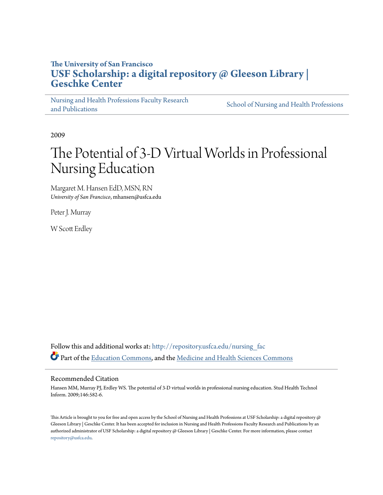# **The University of San Francisco [USF Scholarship: a digital repository @ Gleeson Library |](http://repository.usfca.edu?utm_source=repository.usfca.edu%2Fnursing_fac%2F26&utm_medium=PDF&utm_campaign=PDFCoverPages) [Geschke Center](http://repository.usfca.edu?utm_source=repository.usfca.edu%2Fnursing_fac%2F26&utm_medium=PDF&utm_campaign=PDFCoverPages)**

[Nursing and Health Professions Faculty Research](http://repository.usfca.edu/nursing_fac?utm_source=repository.usfca.edu%2Fnursing_fac%2F26&utm_medium=PDF&utm_campaign=PDFCoverPages) [and Publications](http://repository.usfca.edu/nursing_fac?utm_source=repository.usfca.edu%2Fnursing_fac%2F26&utm_medium=PDF&utm_campaign=PDFCoverPages)

[School of Nursing and Health Professions](http://repository.usfca.edu/nursing?utm_source=repository.usfca.edu%2Fnursing_fac%2F26&utm_medium=PDF&utm_campaign=PDFCoverPages)

2009

# The Potential of 3-D Virtual Worlds in Professional Nursing Education

Margaret M. Hansen EdD, MSN, RN *University of San Francisco*, mhansen@usfca.edu

Peter J. Murray

W Scott Erdley

Follow this and additional works at: [http://repository.usfca.edu/nursing\\_fac](http://repository.usfca.edu/nursing_fac?utm_source=repository.usfca.edu%2Fnursing_fac%2F26&utm_medium=PDF&utm_campaign=PDFCoverPages) Part of the [Education Commons](http://network.bepress.com/hgg/discipline/784?utm_source=repository.usfca.edu%2Fnursing_fac%2F26&utm_medium=PDF&utm_campaign=PDFCoverPages), and the [Medicine and Health Sciences Commons](http://network.bepress.com/hgg/discipline/648?utm_source=repository.usfca.edu%2Fnursing_fac%2F26&utm_medium=PDF&utm_campaign=PDFCoverPages)

# Recommended Citation

Hansen MM, Murray PJ, Erdley WS. The potential of 3-D virtual worlds in professional nursing education. Stud Health Technol Inform. 2009;146:582-6.

This Article is brought to you for free and open access by the School of Nursing and Health Professions at USF Scholarship: a digital repository @ Gleeson Library | Geschke Center. It has been accepted for inclusion in Nursing and Health Professions Faculty Research and Publications by an authorized administrator of USF Scholarship: a digital repository @ Gleeson Library | Geschke Center. For more information, please contact [repository@usfca.edu](mailto:repository@usfca.edu).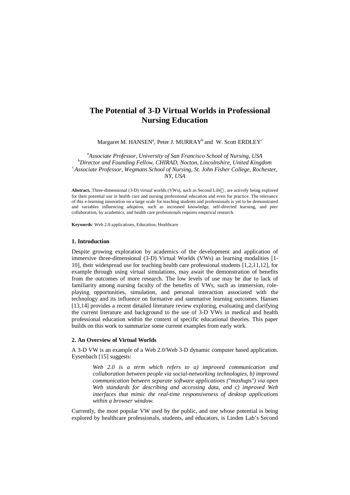# **The Potential of 3-D Virtual Worlds in Professional Nursing Education**

Margaret M. HANSEN<sup>a</sup>, Peter J. MURRAY<sup>b</sup> and W. Scott ERDLEY<sup>c</sup>

<sup>a</sup>*Associate Professor, University of San Francisco School of Nursing, USA* <sup>b</sup>*Director and Founding Fellow, CHIRAD, Nocton, Lincolnshire, United Kingdom* <sup>c</sup>*Associate Professor, Wegmans School of Nursing, St. John Fisher College, Rochester, NY, USA*

Abstract<sub>**.**</sub> Three-dimensional (3-D) virtual worlds (VWs), such as Second Life<sup>®</sup>, are actively being explored for their potential use in health care and nursing professional education and even for practice. The relevance of this e-learning innovation on a large scale for teaching students and professionals is yet to be demonstrated and variables influencing adoption, such as increased knowledge, self-directed learning, and peer collaboration, by academics, and health care professionals requires empirical research.

**Keywords**: Web 2.0 applications, Education, Healthcare

#### **1. Introduction**

Despite growing exploration by academics of the development and application of immersive three-dimensional (3-D) Virtual Worlds (VWs) as learning modalities [1- 10], their widespread use for teaching health care professional students [1,2,11,12], for example through using virtual simulations, may await the demonstration of benefits from the outcomes of more research. The low levels of use may be due to lack of familiarity among nursing faculty of the benefits of VWs, such as immersion, roleplaying opportunities, simulation, and personal interaction associated with the technology and its influence on formative and summative learning outcomes. Hansen [13,14] provides a recent detailed literature review exploring, evaluating and clarifying the current literature and background to the use of 3-D VWs in medical and health professional education within the context of specific educational theories. This paper builds on this work to summarize some current examples from early work.

## **2. An Overview of Virtual Worlds**

A 3-D VW is an example of a Web 2.0/Web 3-D dynamic computer based application. Eysenbach [15] suggests:

*Web 2.0 is a term which refers to a) improved communication and collaboration between people via social-networking technologies, b) improved communication between separate software applications ("mashups") via open Web standards for describing and accessing data, and c) improved Web interfaces that mimic the real-time responsiveness of desktop applications within a browser window.*

Currently, the most popular VW used by the public, and one whose potential is being explored by healthcare professionals, students, and educators, is Linden Lab's Second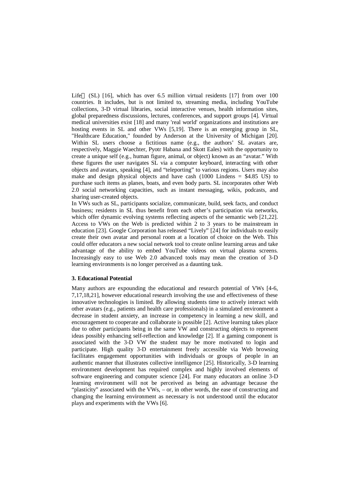Life $\odot$  (SL) [16], which has over 6.5 million virtual residents [17] from over 100 countries. It includes, but is not limited to, streaming media, including YouTube collections, 3-D virtual libraries, social interactive venues, health information sites, global preparedness discussions, lectures, conferences, and support groups [4]. Virtual medical universities exist [18] and many 'real world' organizations and institutions are hosting events in SL and other VWs [5,19]. There is an emerging group in SL, "Healthcare Education," founded by Anderson at the University of Michigan [20]. Within SL users choose a fictitious name (e.g., the authors' SL avatars are, respectively, Maggie Waechter, Pyotr Habana and Skott Eales) with the opportunity to create a unique self (e.g., human figure, animal, or object) known as an "avatar." With these figures the user navigates SL via a computer keyboard, interacting with other objects and avatars, speaking [4], and "teleporting" to various regions. Users may also make and design physical objects and have cash (1000 Lindens  $=$  \$4.85 US) to purchase such items as planes, boats, and even body parts. SL incorporates other Web 2.0 social networking capacities, such as instant messaging, wikis, podcasts, and sharing user-created objects.

In VWs such as SL, participants socialize, communicate, build, seek facts, and conduct business; residents in SL thus benefit from each other's participation via networks, which offer dynamic evolving systems reflecting aspects of the semantic web [21,22]. Access to VWs on the Web is predicted within 2 to 3 years to be mainstream in education [23]. Google Corporation has released "Lively" [24] for individuals to easily create their own avatar and personal room at a location of choice on the Web. This could offer educators a new social network tool to create online learning areas and take advantage of the ability to embed YouTube videos on virtual plasma screens. Increasingly easy to use Web 2.0 advanced tools may mean the creation of 3-D learning environments is no longer perceived as a daunting task.

#### **3. Educational Potential**

Many authors are expounding the educational and research potential of VWs [4-6, 7,17,18,21], however educational research involving the use and effectiveness of these innovative technologies is limited. By allowing students time to actively interact with other avatars (e.g., patients and health care professionals) in a simulated environment a decrease in student anxiety, an increase in competency in learning a new skill, and encouragement to cooperate and collaborate is possible [2]. Active learning takes place due to other participants being in the same VW and constructing objects to represent ideas possibly enhancing self-reflection and knowledge [2]. If a gaming component is associated with the 3-D VW the student may be more motivated to login and participate. High quality 3-D entertainment freely accessible via Web browsing facilitates engagement opportunities with individuals or groups of people in an authentic manner that illustrates collective intelligence [25]. Historically, 3-D learning environment development has required complex and highly involved elements of software engineering and computer science [24]. For many educators an online 3-D learning environment will not be perceived as being an advantage because the "plasticity" associated with the VWs, – or, in other words, the ease of constructing and changing the learning environment as necessary is not understood until the educator plays and experiments with the VWs [6].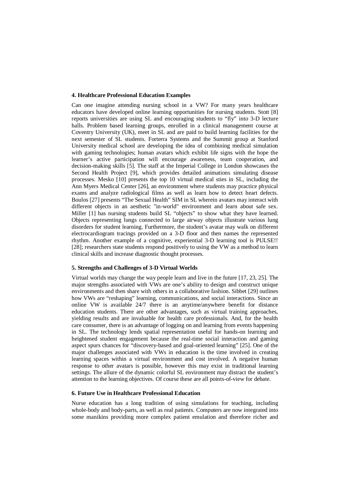#### **4. Healthcare Professional Education Examples**

Can one imagine attending nursing school in a VW? For many years healthcare educators have developed online learning opportunities for nursing students. Stott [8] reports universities are using SL and encouraging students to "fly" into 3-D lecture halls. Problem based learning groups, enrolled in a clinical management course at Coventry University (UK), meet in SL and are paid to build learning facilities for the next semester of SL students. Forterra Systems and the Summit group at Stanford University medical school are developing the idea of combining medical simulation with gaming technologies; human avatars which exhibit life signs with the hope the learner's active participation will encourage awareness, team cooperation, and decision-making skills [5]. The staff at the Imperial College in London showcases the Second Health Project [9], which provides detailed animations simulating disease processes. Mesko [10] presents the top 10 virtual medical sties in SL, including the Ann Myers Medical Center [26], an environment where students may practice physical exams and analyze radiological films as well as learn how to detect heart defects. Boulos [27] presents "The Sexual Health" SIM in SL wherein avatars may interact with different objects in an aesthetic "in-world" environment and learn about safe sex. Miller [1] has nursing students build SL "objects" to show what they have learned. Objects representing lungs connected to large airway objects illustrate various lung disorders for student learning. Furthermore, the student's avatar may walk on different electrocardiogram tracings provided on a 3-D floor and then names the represented rhythm. Another example of a cognitive, experiential 3-D learning tool is PULSE!! [28]; researchers state students respond positively to using the VW as a method to learn clinical skills and increase diagnostic thought processes.

## **5. Strengths and Challenges of 3-D Virtual Worlds**

Virtual worlds may change the way people learn and live in the future [17, 23, 25]. The major strengths associated with VWs are one's ability to design and construct unique environments and then share with others in a collaborative fashion. Sibbet [29] outlines how VWs are "reshaping" learning, communications, and social interactions. Since an online VW is available 24/7 there is an anytime/anywhere benefit for distance education students. There are other advantages, such as virtual training approaches, yielding results and are invaluable for health care professionals. And, for the health care consumer, there is an advantage of logging on and learning from events happening in SL. The technology lends spatial representation useful for hands-on learning and heightened student engagement because the real-time social interaction and gaming aspect spurs chances for "discovery-based and goal-oriented learning" [25]. One of the major challenges associated with VWs in education is the time involved in creating learning spaces within a virtual environment and cost involved. A negative human response to other avatars is possible, however this may exist in traditional learning settings. The allure of the dynamic colorful SL environment may distract the student's attention to the learning objectives. Of course these are all points-of-view for debate.

## **6. Future Use in Healthcare Professional Education**

Nurse education has a long tradition of using simulations for teaching, including whole-body and body-parts, as well as real patients. Computers are now integrated into some manikins providing more complex patient emulation and therefore richer and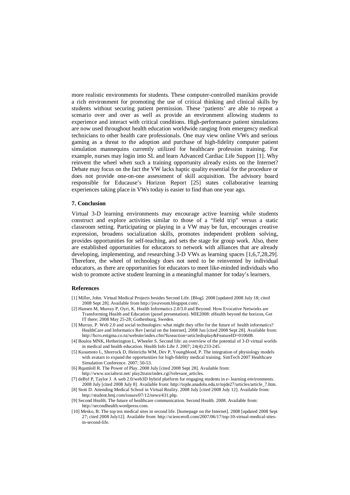more realistic environments for students. These computer-controlled manikins provide a rich environment for promoting the use of critical thinking and clinical skills by students without securing patient permission. These 'patients' are able to repeat a scenario over and over as well as provide an environment allowing students to experience and interact with critical conditions. High-performance patient simulations are now used throughout health education worldwide ranging from emergency medical technicians to other health care professionals. One may view online VWs and serious gaming as a threat to the adoption and purchase of high-fidelity computer patient simulation mannequins currently utilized for healthcare profession training. For example, nurses may login into SL and learn Advanced Cardiac Life Support [1]. Why reinvent the wheel when such a training opportunity already exists on the Internet? Debate may focus on the fact the VW lacks haptic quality essential for the procedure or does not provide one-on-one assessment of skill acquisition. The advisory board responsible for Educause's Horizon Report [25] states collaborative learning experiences taking place in VWs today is easier to find than one year ago.

# **7. Conclusion**

Virtual 3-D learning environments may encourage active learning while students construct and explore activities similar to those of a "field trip" versus a static classroom setting. Participating or playing in a VW may be fun, encourages creative expression, broadens socialization skills, promotes independent problem solving, provides opportunities for self-teaching, and sets the stage for group work. Also, there are established opportunities for educators to network with alliances that are already developing, implementing, and researching 3-D VWs as learning spaces [1,6,7,28,29]. Therefore, the wheel of technology does not need to be reinvented by individual educators, as there are opportunities for educators to meet like-minded individuals who wish to promote active student learning in a meaningful manner for today's learners.

#### **References**

- [1] Miller, John. Virtual Medical Projects besides Second Life. [Blog]. 2008 [updated 2008 July 18; cited 2008 Sept 28]. Available from<http://jsvavoom.blogspot.com/.>
- [2] Hansen M, Murray P, Oyri, K. Health Informatics 2.0/3.0 and Beyond: How Evocative Networks are Transforming Health and Education (panel presentation). MIE2008: eHealth beyond the horizon, Get IT there; 2008 May 25-28; Gothenburg, Sweden.
- [3] Murray, P. Web 2.0 and social technologies: what might they offer for the future of health informatics? HealthCare and Informatics Rev [serial on the Internet]. 2008 Jun [cited 2008 Sept 28]. Available from: <http://hcro.enigma.co.nz/website/index.cfm?fuseaction=articledisplay&FeatureID=010608.>
- [4] Boulos MNK, Hetherington L, Wheeler S. Second life: an overview of the potential of 3-D virtual worlds in medical and health education. Health Info Libr J. 2007; 24(4):233-245.
- [5] Kusumoto L, Shorrock D, Heinrichs WM, Dev P, Youngblood, P. The integration of physiology models with avatars to expand the opportunities for high-fidelity medical training. SimTech 2007 Healthcare Simulation Conference. 2007; 50-53.
- [6] Rqamloll R. The Power of Play. 2008 July [cited 2008 Sept 28]. Available from:
- <http://www.socialtext.net/>play2train/index.cgi?relevant\_articles.
- [7] deByl P, Taylor J. A web 2.0/web3D hybrid platform for engaging students in e- learning environments. 2008 July [cited 2008 July 8]. Available from: [http://tojde.anadolu.edu.tr/tojde27/articles/article\\_7.htm.](http://tojde.anadolu.edu.tr/tojde27/articles/article_7.htm.) [8] Stott D. Attending Medical School in Virtual Reality. 2008 July [cited 2008 July 12]. Available from:
- <http://student.bmj.com/issues/07/12/news/431.php.>
- [9] Second Health. The future of healthcare communication. Second Health. 2008. Available from: <http://secondhealth.wordpress.com.>
- [10] Mesko, B. The top ten medical sites in second life. [homepage on the Internet]. 2008 [updated 2008 Sept] 27; cited 2008 July12]. Available from: [http://scienceroll.com/2007/06/17/top-10-virtual-medical-sites](http://scienceroll.com/2007/06/17/top-10-virtual-medical-sites-)in-second-life.